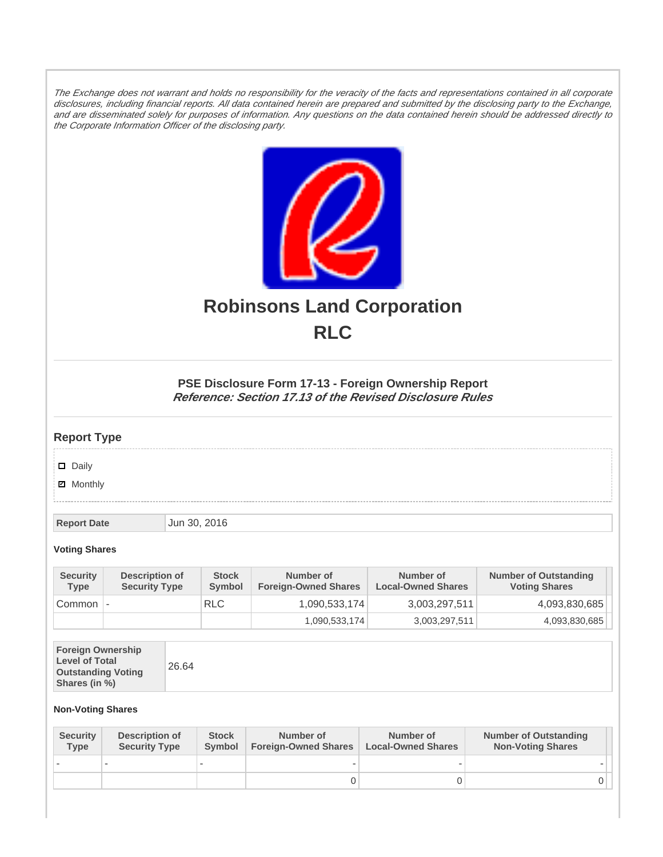The Exchange does not warrant and holds no responsibility for the veracity of the facts and representations contained in all corporate disclosures, including financial reports. All data contained herein are prepared and submitted by the disclosing party to the Exchange, and are disseminated solely for purposes of information. Any questions on the data contained herein should be addressed directly to the Corporate Information Officer of the disclosing party.



# **Robinsons Land Corporation RLC**

## **PSE Disclosure Form 17-13 - Foreign Ownership Report Reference: Section 17.13 of the Revised Disclosure Rules**

## **Report Type**

Daily

**Ø** Monthly

**Report Date Jun 30, 2016** 

#### **Voting Shares**

| <b>Security</b><br><b>Type</b> | Description of<br><b>Security Type</b> | <b>Stock</b><br>Symbol | Number of<br><b>Foreign-Owned Shares</b> | Number of<br><b>Local-Owned Shares</b> | <b>Number of Outstanding</b><br><b>Voting Shares</b> |
|--------------------------------|----------------------------------------|------------------------|------------------------------------------|----------------------------------------|------------------------------------------------------|
| Common                         | $\overline{\phantom{a}}$               | <b>RLC</b>             | 1,090,533,174                            | 3,003,297,511                          | 4,093,830,685                                        |
|                                |                                        |                        | 1,090,533,174                            | 3,003,297,511                          | 4,093,830,685                                        |

|--|

### **Non-Voting Shares**

| <b>Security</b><br><b>Type</b> | Description of<br><b>Security Type</b> | <b>Stock</b><br><b>Symbol</b> | Number of<br><b>Foreign-Owned Shares</b> | Number of<br><b>Local-Owned Shares</b> | <b>Number of Outstanding</b><br><b>Non-Voting Shares</b> |
|--------------------------------|----------------------------------------|-------------------------------|------------------------------------------|----------------------------------------|----------------------------------------------------------|
|                                |                                        |                               |                                          |                                        |                                                          |
|                                |                                        |                               | 0                                        |                                        |                                                          |